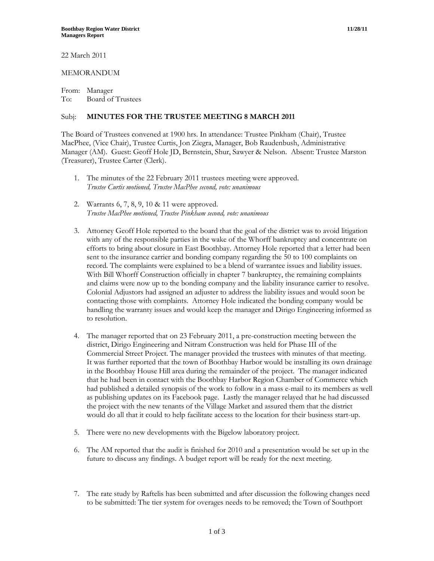22 March 2011

## MEMORANDUM

From: Manager To: Board of Trustees

## Subj: **MINUTES FOR THE TRUSTEE MEETING 8 MARCH 2011**

The Board of Trustees convened at 1900 hrs. In attendance: Trustee Pinkham (Chair), Trustee MacPhee, (Vice Chair), Trustee Curtis, Jon Ziegra, Manager, Bob Raudenbush, Administrative Manager (AM). Guest: Geoff Hole JD, Bernstein, Shur, Sawyer & Nelson. Absent: Trustee Marston (Treasurer), Trustee Carter (Clerk).

- 1. The minutes of the 22 February 2011 trustees meeting were approved. *Trustee Curtis motioned, Trustee MacPhee second, vote: unanimous*
- 2. Warrants 6, 7, 8, 9, 10 & 11 were approved. *Trustee MacPhee motioned, Trustee Pinkham second, vote: unanimous*
- 3. Attorney Geoff Hole reported to the board that the goal of the district was to avoid litigation with any of the responsible parties in the wake of the Whorff bankruptcy and concentrate on efforts to bring about closure in East Boothbay. Attorney Hole reported that a letter had been sent to the insurance carrier and bonding company regarding the 50 to 100 complaints on record. The complaints were explained to be a blend of warrantee issues and liability issues. With Bill Whorff Construction officially in chapter 7 bankruptcy, the remaining complaints and claims were now up to the bonding company and the liability insurance carrier to resolve. Colonial Adjustors had assigned an adjuster to address the liability issues and would soon be contacting those with complaints. Attorney Hole indicated the bonding company would be handling the warranty issues and would keep the manager and Dirigo Engineering informed as to resolution.
- 4. The manager reported that on 23 February 2011, a pre-construction meeting between the district, Dirigo Engineering and Nitram Construction was held for Phase III of the Commercial Street Project. The manager provided the trustees with minutes of that meeting. It was further reported that the town of Boothbay Harbor would be installing its own drainage in the Boothbay House Hill area during the remainder of the project. The manager indicated that he had been in contact with the Boothbay Harbor Region Chamber of Commerce which had published a detailed synopsis of the work to follow in a mass e-mail to its members as well as publishing updates on its Facebook page. Lastly the manager relayed that he had discussed the project with the new tenants of the Village Market and assured them that the district would do all that it could to help facilitate access to the location for their business start-up.
- 5. There were no new developments with the Bigelow laboratory project.
- 6. The AM reported that the audit is finished for 2010 and a presentation would be set up in the future to discuss any findings. A budget report will be ready for the next meeting.
- 7. The rate study by Raftelis has been submitted and after discussion the following changes need to be submitted: The tier system for overages needs to be removed; the Town of Southport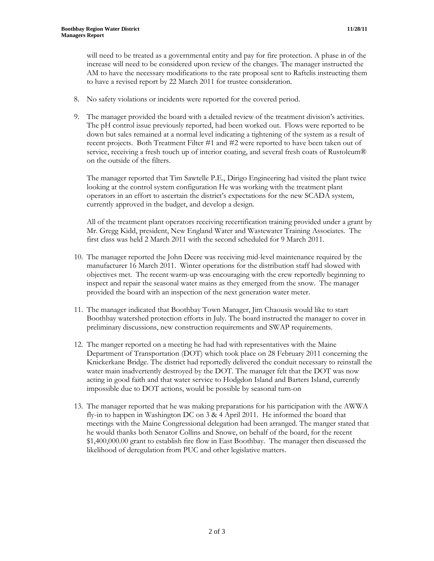will need to be treated as a governmental entity and pay for fire protection. A phase in of the increase will need to be considered upon review of the changes. The manager instructed the AM to have the necessary modifications to the rate proposal sent to Raftelis instructing them to have a revised report by 22 March 2011 for trustee consideration.

- 8. No safety violations or incidents were reported for the covered period.
- 9. The manager provided the board with a detailed review of the treatment division's activities. The pH control issue previously reported, had been worked out. Flows were reported to be down but sales remained at a normal level indicating a tightening of the system as a result of recent projects. Both Treatment Filter #1 and #2 were reported to have been taken out of service, receiving a fresh touch up of interior coating, and several fresh coats of Rustoleum® on the outside of the filters.

The manager reported that Tim Sawtelle P.E., Dirigo Engineering had visited the plant twice looking at the control system configuration He was working with the treatment plant operators in an effort to ascertain the district's expectations for the new SCADA system, currently approved in the budget, and develop a design.

All of the treatment plant operators receiving recertification training provided under a grant by Mr. Gregg Kidd, president, New England Water and Wastewater Training Associates. The first class was held 2 March 2011 with the second scheduled for 9 March 2011.

- 10. The manager reported the John Deere was receiving mid-level maintenance required by the manufacturer 16 March 2011. Winter operations for the distribution staff had slowed with objectives met. The recent warm-up was encouraging with the crew reportedly beginning to inspect and repair the seasonal water mains as they emerged from the snow. The manager provided the board with an inspection of the next generation water meter.
- 11. The manager indicated that Boothbay Town Manager, Jim Chaousis would like to start Boothbay watershed protection efforts in July. The board instructed the manager to cover in preliminary discussions, new construction requirements and SWAP requirements.
- 12. The manger reported on a meeting he had had with representatives with the Maine Department of Transportation (DOT) which took place on 28 February 2011 concerning the Knickerkane Bridge. The district had reportedly delivered the conduit necessary to reinstall the water main inadvertently destroyed by the DOT. The manager felt that the DOT was now acting in good faith and that water service to Hodgdon Island and Barters Island, currently impossible due to DOT actions, would be possible by seasonal turn-on
- 13. The manager reported that he was making preparations for his participation with the AWWA fly-in to happen in Washington DC on 3 & 4 April 2011. He informed the board that meetings with the Maine Congressional delegation had been arranged. The manger stated that he would thanks both Senator Collins and Snowe, on behalf of the board, for the recent \$1,400,000.00 grant to establish fire flow in East Boothbay. The manager then discussed the likelihood of deregulation from PUC and other legislative matters.